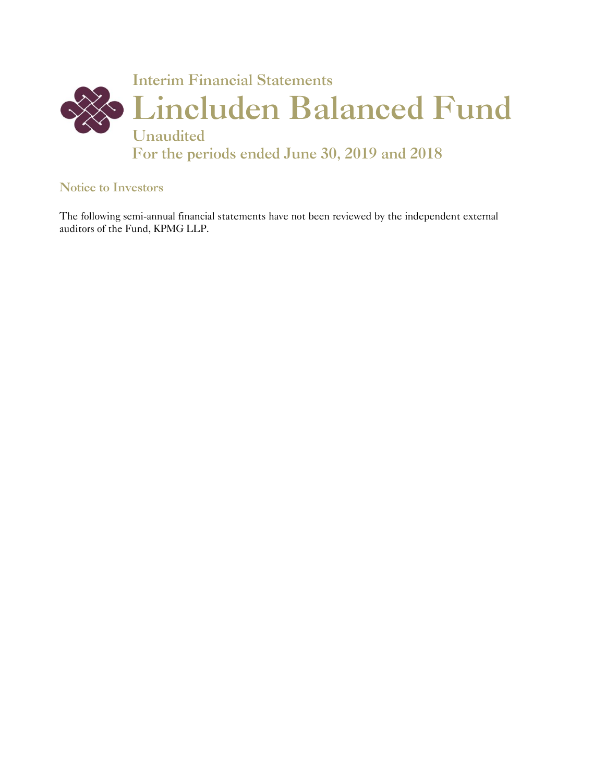

#### Notice to Investors

The following semi-annual financial statements have not been reviewed by the independent external auditors of the Fund, KPMG LLP.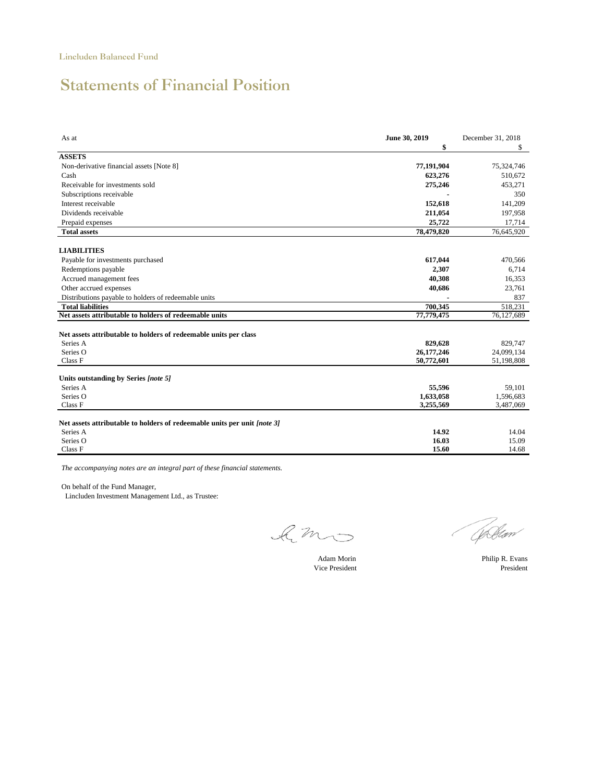# Statements of Financial Position

| As at                                                                    | June 30, 2019<br>\$ | December 31, 2018<br>\$ |
|--------------------------------------------------------------------------|---------------------|-------------------------|
| <b>ASSETS</b>                                                            |                     |                         |
| Non-derivative financial assets [Note 8]                                 | 77,191,904          | 75,324,746              |
| Cash                                                                     | 623,276             | 510,672                 |
| Receivable for investments sold                                          | 275,246             | 453,271                 |
| Subscriptions receivable                                                 |                     | 350                     |
| Interest receivable                                                      | 152,618             | 141,209                 |
| Dividends receivable                                                     | 211,054             | 197,958                 |
| Prepaid expenses                                                         | 25,722              | 17,714                  |
| <b>Total assets</b>                                                      | 78,479,820          | 76,645,920              |
| <b>LIABILITIES</b>                                                       |                     |                         |
| Payable for investments purchased                                        | 617,044             | 470,566                 |
| Redemptions payable                                                      | 2,307               | 6,714                   |
| Accrued management fees                                                  | 40,308              | 16,353                  |
| Other accrued expenses                                                   | 40,686              | 23,761                  |
| Distributions payable to holders of redeemable units                     |                     | 837                     |
| <b>Total liabilities</b>                                                 | 700.345             | 518,231                 |
| Net assets attributable to holders of redeemable units                   | 77,779,475          | 76,127,689              |
| Net assets attributable to holders of redeemable units per class         |                     |                         |
| Series A                                                                 | 829,628             | 829,747                 |
| Series O                                                                 | 26,177,246          | 24,099,134              |
| Class F                                                                  | 50,772,601          | 51,198,808              |
| Units outstanding by Series [note 5]                                     |                     |                         |
| Series A                                                                 | 55,596              | 59,101                  |
| Series O                                                                 | 1,633,058           | 1,596,683               |
| Class F                                                                  | 3,255,569           | 3,487,069               |
| Net assets attributable to holders of redeemable units per unit [note 3] |                     |                         |
| Series A                                                                 | 14.92               | 14.04                   |
| Series O                                                                 | 16.03               | 15.09                   |
| Class F                                                                  | 15.60               | 14.68                   |

*The accompanying notes are an integral part of these financial statements.*

On behalf of the Fund Manager,

Lincluden Investment Management Ltd., as Trustee:

limo

Adam Morin Philip R. Evans

(Chelan

Vice President President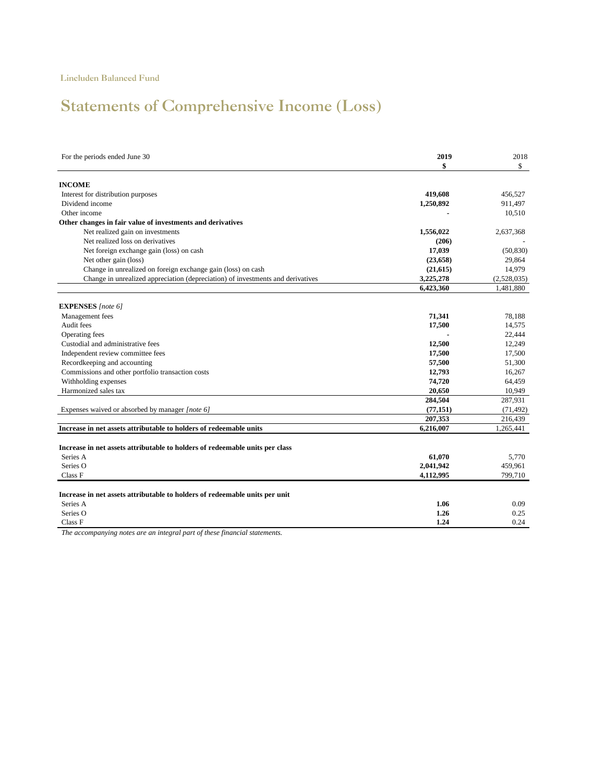# Statements of Comprehensive Income (Loss)

| For the periods ended June 30                                                   | 2019      | 2018        |
|---------------------------------------------------------------------------------|-----------|-------------|
|                                                                                 | \$        | \$          |
| <b>INCOME</b>                                                                   |           |             |
| Interest for distribution purposes                                              | 419,608   | 456,527     |
| Dividend income                                                                 | 1,250,892 | 911,497     |
| Other income                                                                    |           | 10,510      |
| Other changes in fair value of investments and derivatives                      |           |             |
| Net realized gain on investments                                                | 1,556,022 | 2,637,368   |
| Net realized loss on derivatives                                                | (206)     |             |
| Net foreign exchange gain (loss) on cash                                        | 17,039    | (50, 830)   |
| Net other gain (loss)                                                           | (23, 658) | 29,864      |
| Change in unrealized on foreign exchange gain (loss) on cash                    | (21, 615) | 14,979      |
| Change in unrealized appreciation (depreciation) of investments and derivatives | 3,225,278 | (2,528,035) |
|                                                                                 | 6,423,360 | 1,481,880   |
|                                                                                 |           |             |
| <b>EXPENSES</b> [note 6]                                                        |           |             |
| Management fees                                                                 | 71,341    | 78,188      |
| Audit fees                                                                      | 17,500    | 14,575      |
| Operating fees                                                                  |           | 22,444      |
| Custodial and administrative fees                                               | 12,500    | 12,249      |
| Independent review committee fees                                               | 17,500    | 17,500      |
| Recordkeeping and accounting                                                    | 57,500    | 51,300      |
| Commissions and other portfolio transaction costs                               | 12,793    | 16,267      |
| Withholding expenses                                                            | 74,720    | 64,459      |
| Harmonized sales tax                                                            | 20,650    | 10,949      |
|                                                                                 | 284,504   | 287,931     |
| Expenses waived or absorbed by manager [note 6]                                 | (77, 151) | (71, 492)   |
|                                                                                 | 207,353   | 216,439     |
| Increase in net assets attributable to holders of redeemable units              | 6,216,007 | 1,265,441   |
|                                                                                 |           |             |
| Increase in net assets attributable to holders of redeemable units per class    |           |             |
| Series A                                                                        | 61,070    | 5,770       |
| Series O                                                                        | 2,041,942 | 459,961     |
| Class F                                                                         | 4,112,995 | 799,710     |
|                                                                                 |           |             |
| Increase in net assets attributable to holders of redeemable units per unit     |           |             |
| Series A                                                                        | 1.06      | 0.09        |
| Series O                                                                        | 1.26      | 0.25        |
| Class F                                                                         | 1.24      | 0.24        |
|                                                                                 |           |             |

*The accompanying notes are an integral part of these financial statements.*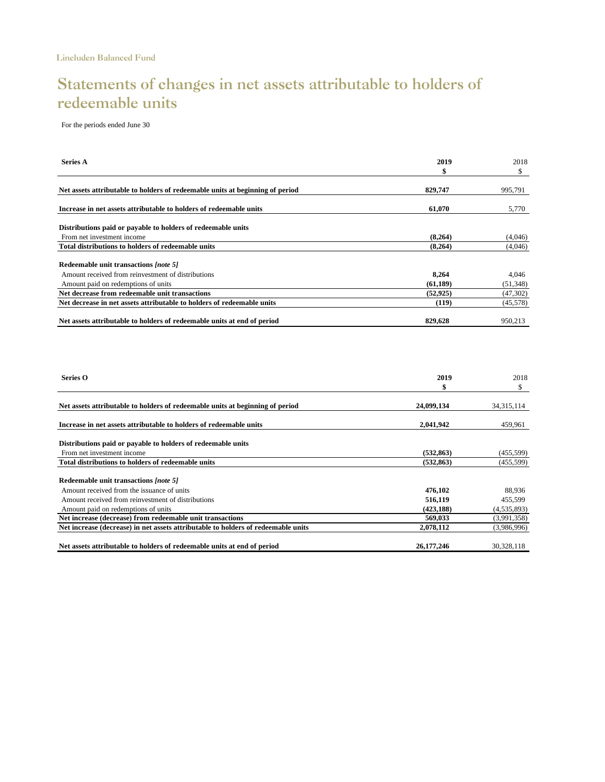# Statements of changes in net assets attributable to holders of redeemable units

For the periods ended June 30

| <b>Series A</b>                                                               | 2019      | 2018      |  |
|-------------------------------------------------------------------------------|-----------|-----------|--|
|                                                                               | S         | \$        |  |
| Net assets attributable to holders of redeemable units at beginning of period | 829,747   | 995,791   |  |
| Increase in net assets attributable to holders of redeemable units            | 61.070    | 5,770     |  |
| Distributions paid or payable to holders of redeemable units                  |           |           |  |
| From net investment income                                                    | (8,264)   | (4,046)   |  |
| Total distributions to holders of redeemable units                            | (8,264)   | (4,046)   |  |
| Redeemable unit transactions [note 5]                                         |           |           |  |
| Amount received from reinvestment of distributions                            | 8,264     | 4,046     |  |
| Amount paid on redemptions of units                                           | (61, 189) | (51, 348) |  |
| Net decrease from redeemable unit transactions                                | (52, 925) | (47, 302) |  |
| Net decrease in net assets attributable to holders of redeemable units        | (119)     | (45,578)  |  |
| Net assets attributable to holders of redeemable units at end of period       | 829,628   | 950.213   |  |

| Series O                                                                          | 2019         | 2018          |
|-----------------------------------------------------------------------------------|--------------|---------------|
|                                                                                   | \$           | S             |
| Net assets attributable to holders of redeemable units at beginning of period     | 24,099,134   | 34, 315, 114  |
| Increase in net assets attributable to holders of redeemable units                | 2,041,942    | 459,961       |
| Distributions paid or payable to holders of redeemable units                      |              |               |
| From net investment income                                                        | (532, 863)   | (455, 599)    |
| <b>Total distributions to holders of redeemable units</b>                         | (532, 863)   | (455, 599)    |
| Redeemable unit transactions [note 5]                                             |              |               |
| Amount received from the issuance of units                                        | 476,102      | 88,936        |
| Amount received from reinvestment of distributions                                | 516,119      | 455,599       |
| Amount paid on redemptions of units                                               | (423, 188)   | (4, 535, 893) |
| Net increase (decrease) from redeemable unit transactions                         | 569,033      | (3,991,358)   |
| Net increase (decrease) in net assets attributable to holders of redeemable units | 2,078,112    | (3,986,996)   |
| Net assets attributable to holders of redeemable units at end of period           | 26, 177, 246 | 30,328,118    |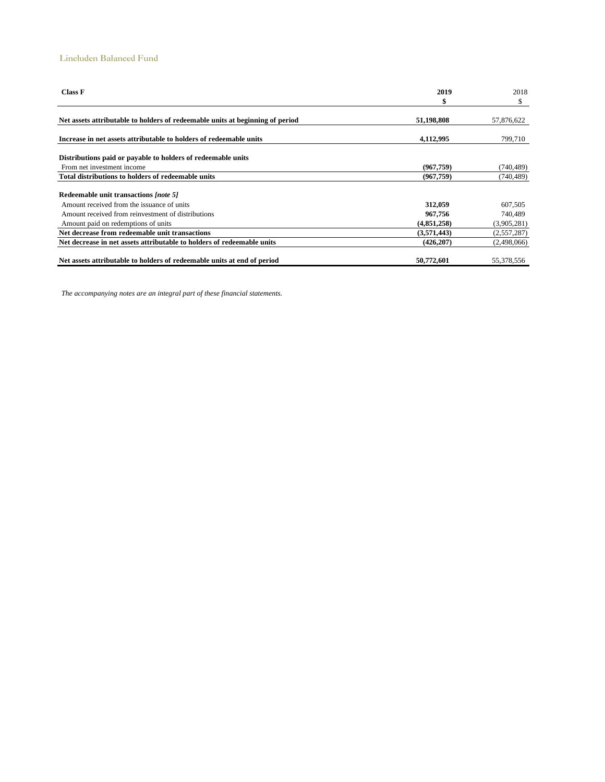#### Lincluden Balanced Fund

| <b>Class F</b>                                                                | 2019        | 2018        |  |
|-------------------------------------------------------------------------------|-------------|-------------|--|
|                                                                               | \$          | \$          |  |
| Net assets attributable to holders of redeemable units at beginning of period | 51,198,808  | 57,876,622  |  |
| Increase in net assets attributable to holders of redeemable units            | 4,112,995   | 799,710     |  |
| Distributions paid or payable to holders of redeemable units                  |             |             |  |
| From net investment income                                                    | (967,759)   | (740,489)   |  |
| Total distributions to holders of redeemable units                            | (967, 759)  | (740, 489)  |  |
|                                                                               |             |             |  |
| Redeemable unit transactions [note 5]                                         |             |             |  |
| Amount received from the issuance of units                                    | 312,059     | 607,505     |  |
| Amount received from reinvestment of distributions                            | 967,756     | 740,489     |  |
| Amount paid on redemptions of units                                           | (4,851,258) | (3,905,281) |  |
| Net decrease from redeemable unit transactions                                | (3,571,443) | (2,557,287) |  |
| Net decrease in net assets attributable to holders of redeemable units        | (426, 207)  | (2,498,066) |  |
| Net assets attributable to holders of redeemable units at end of period       | 50,772,601  | 55,378,556  |  |

*The accompanying notes are an integral part of these financial statements.*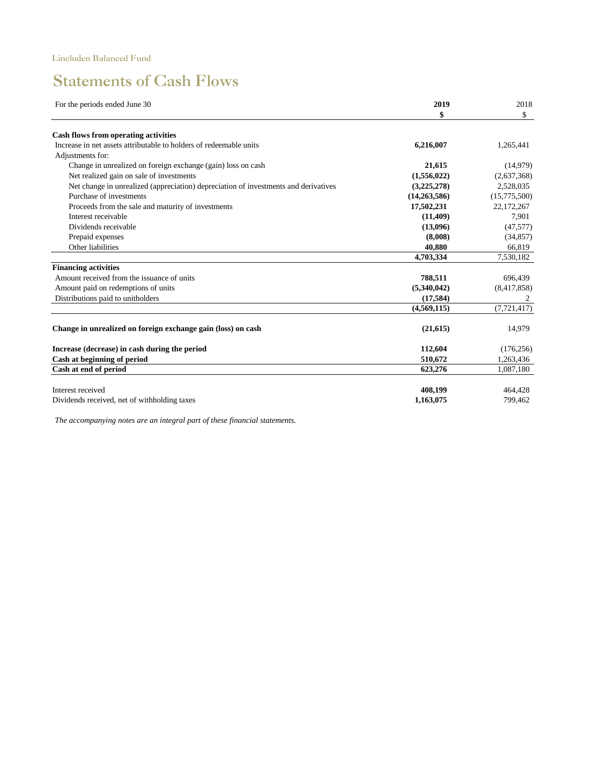# Statements of Cash Flows

| For the periods ended June 30                                                       | 2019         | 2018          |
|-------------------------------------------------------------------------------------|--------------|---------------|
|                                                                                     | \$           | \$            |
| Cash flows from operating activities                                                |              |               |
| Increase in net assets attributable to holders of redeemable units                  | 6,216,007    | 1,265,441     |
| Adjustments for:                                                                    |              |               |
| Change in unrealized on foreign exchange (gain) loss on cash                        | 21,615       | (14,979)      |
| Net realized gain on sale of investments                                            | (1,556,022)  | (2,637,368)   |
| Net change in unrealized (appreciation) depreciation of investments and derivatives | (3,225,278)  | 2,528,035     |
| Purchase of investments                                                             | (14,263,586) | (15,775,500)  |
| Proceeds from the sale and maturity of investments                                  | 17,502,231   | 22,172,267    |
| Interest receivable                                                                 | (11, 409)    | 7,901         |
| Dividends receivable                                                                | (13,096)     | (47, 577)     |
| Prepaid expenses                                                                    | (8,008)      | (34, 857)     |
| Other liabilities                                                                   | 40.880       | 66,819        |
|                                                                                     | 4,703,334    | 7,530,182     |
| <b>Financing activities</b>                                                         |              |               |
| Amount received from the issuance of units                                          | 788,511      | 696,439       |
| Amount paid on redemptions of units                                                 | (5,340,042)  | (8,417,858)   |
| Distributions paid to unitholders                                                   | (17, 584)    |               |
|                                                                                     | (4,569,115)  | (7, 721, 417) |
| Change in unrealized on foreign exchange gain (loss) on cash                        | (21, 615)    | 14,979        |
| Increase (decrease) in cash during the period                                       | 112,604      | (176, 256)    |
| Cash at beginning of period                                                         | 510,672      | 1,263,436     |
| Cash at end of period                                                               | 623,276      | 1,087,180     |
| Interest received                                                                   | 408,199      | 464,428       |
| Dividends received, net of withholding taxes                                        | 1,163,075    | 799,462       |

*The accompanying notes are an integral part of these financial statements.*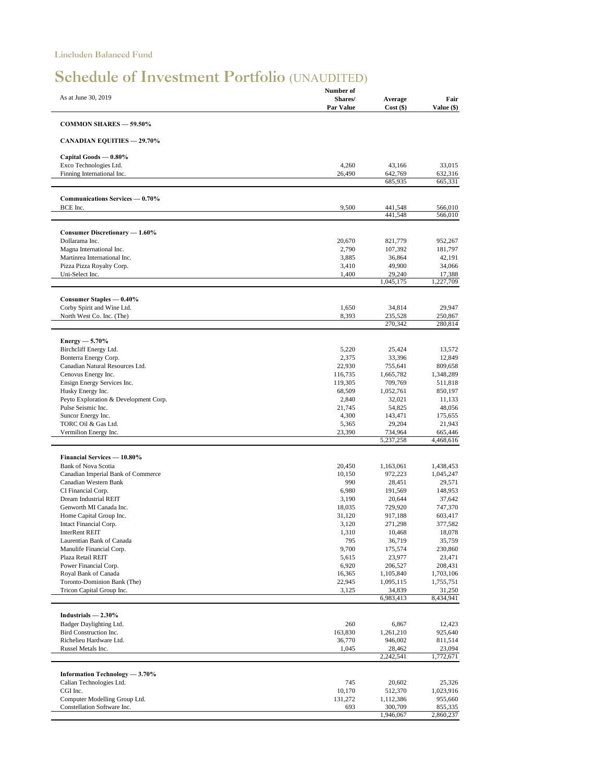# Schedule of Investment Portfolio (UNAUDITED)

|                                                    | Number of         |                      |                      |
|----------------------------------------------------|-------------------|----------------------|----------------------|
| As at June 30, 2019                                | Shares/           | Average              | Fair                 |
|                                                    | Par Value         | $Cost($ \$)          | Value (\$)           |
| <b>COMMON SHARES - 59.50%</b>                      |                   |                      |                      |
| <b>CANADIAN EQUITIES - 29.70%</b>                  |                   |                      |                      |
| Capital Goods - 0.80%                              |                   |                      |                      |
| Exco Technologies Ltd.                             | 4,260             | 43,166               | 33,015               |
| Finning International Inc.                         | 26,490            | 642,769              | 632,316              |
|                                                    |                   | 685,935              | 665,331              |
| Communications Services — 0.70%                    |                   |                      |                      |
| BCE Inc.                                           | 9,500             | 441,548<br>441,548   | 566,010<br>566,010   |
| Consumer Discretionary - 1.60%                     |                   |                      |                      |
| Dollarama Inc.                                     | 20,670            | 821,779              | 952,267              |
| Magna International Inc.                           | 2,790             | 107,392              | 181,797              |
| Martinrea International Inc.                       | 3,885             | 36,864               | 42,191               |
| Pizza Pizza Royalty Corp.                          | 3,410             | 49,900               | 34,066               |
| Uni-Select Inc.                                    | 1,400             | 29,240<br>1,045,175  | 17,388<br>1,227,709  |
| Consumer Staples - 0.40%                           |                   |                      |                      |
| Corby Spirit and Wine Ltd.                         | 1,650             | 34,814               | 29,947               |
| North West Co. Inc. (The)                          | 8,393             | 235,528              | 250,867              |
|                                                    |                   | 270,342              | 280,814              |
| $Energy - 5.70\%$                                  |                   |                      |                      |
| Birchcliff Energy Ltd.                             | 5,220             | 25,424               | 13,572               |
| Bonterra Energy Corp.                              | 2,375             | 33,396               | 12,849               |
| Canadian Natural Resources Ltd.                    | 22,930<br>116,735 | 755,641              | 809,658              |
| Cenovus Energy Inc.<br>Ensign Energy Services Inc. | 119,305           | 1,665,782<br>709,769 | 1,348,289<br>511,818 |
| Husky Energy Inc.                                  | 68,509            | 1,052,761            | 850,197              |
| Peyto Exploration & Development Corp.              | 2,840             | 32,021               | 11,133               |
| Pulse Seismic Inc.                                 | 21,745            | 54,825               | 48,056               |
| Suncor Energy Inc.                                 | 4,300             | 143,471              | 175,655              |
| TORC Oil & Gas Ltd.                                | 5,365             | 29,204               | 21,943               |
| Vermilion Energy Inc.                              | 23,390            | 734,964<br>5,237,258 | 665,446<br>4,468,616 |
| <b>Financial Services - 10.80%</b>                 |                   |                      |                      |
| <b>Bank of Nova Scotia</b>                         | 20,450            | 1,163,061            | 1,438,453            |
| Canadian Imperial Bank of Commerce                 | 10,150            | 972,223              | 1,045,247            |
| Canadian Western Bank                              | 990               | 28,451               | 29,571               |
| CI Financial Corp.                                 | 6,980             | 191,569              | 148,953              |
| Dream Industrial REIT                              | 3,190             | 20,644               | 37,642               |
| Genworth MI Canada Inc.                            | 18,035            | 729,920              | 747,370              |
| Home Capital Group Inc.                            | 31,120            | 917,188              | 603,417              |
| Intact Financial Corp.                             | 3,120             | 271,298              | 377,582              |
| <b>InterRent REIT</b><br>Laurentian Bank of Canada | 1,310<br>795      | 10,468<br>36,719     | 18,078<br>35,759     |
| Manulife Financial Corp.                           | 9,700             | 175,574              | 230,860              |
| Plaza Retail REIT                                  | 5,615             | 23,977               | 23,471               |
| Power Financial Corp.                              | 6,920             | 206,527              | 208,431              |
| Royal Bank of Canada                               | 16,365            | 1,105,840            | 1,703,106            |
| Toronto-Dominion Bank (The)                        | 22,945            | 1,095,115            | 1,755,751            |
| Tricon Capital Group Inc.                          | 3,125             | 34,839<br>6,983,413  | 31,250<br>8,434,941  |
|                                                    |                   |                      |                      |
| Industrials $-2.30\%$<br>Badger Daylighting Ltd.   | 260               |                      | 12,423               |
| Bird Construction Inc.                             | 163,830           | 6,867<br>1,261,210   | 925,640              |
| Richelieu Hardware Ltd.                            | 36,770            | 946,002              | 811,514              |
| Russel Metals Inc.                                 | 1,045             | 28,462               | 23,094               |
|                                                    |                   | 2,242,541            | 1,772,671            |
| Information Technology - 3.70%                     |                   |                      |                      |
| Calian Technologies Ltd.                           | 745               | 20,602               | 25,326               |
| CGI Inc.                                           | 10,170            | 512,370              | 1,023,916            |
| Computer Modelling Group Ltd.                      | 131,272           | 1,112,386            | 955,660              |
| Constellation Software Inc.                        | 693               | 300,709<br>1,946,067 | 855,335<br>2,860,237 |
|                                                    |                   |                      |                      |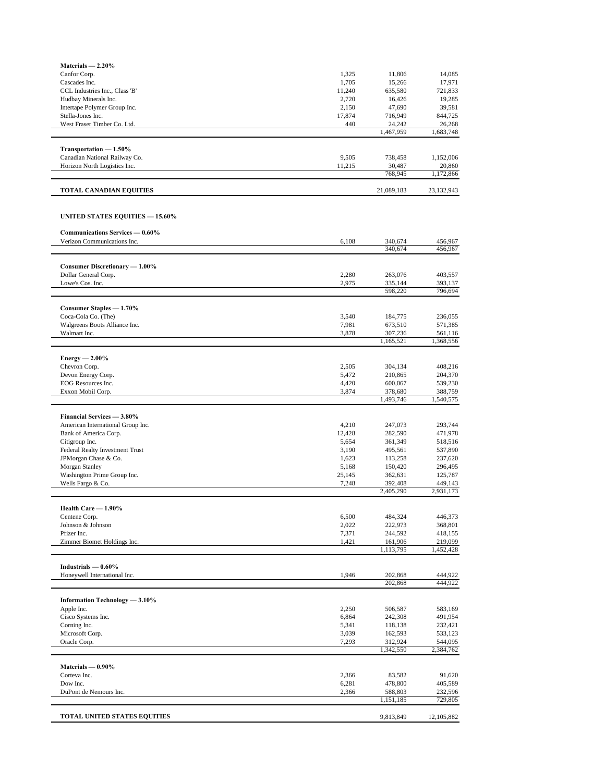| Materials $-2.20\%$                                    |                |                      |                      |
|--------------------------------------------------------|----------------|----------------------|----------------------|
| Canfor Corp.                                           | 1,325          | 11,806               | 14,085               |
| Cascades Inc.                                          | 1,705          | 15,266               | 17,971               |
| CCL Industries Inc., Class 'B'                         | 11,240         | 635,580              | 721,833              |
| Hudbay Minerals Inc.                                   | 2,720          | 16,426               | 19,285               |
| Intertape Polymer Group Inc.                           | 2,150          | 47,690               | 39,581               |
| Stella-Jones Inc.                                      | 17,874         | 716,949              | 844,725              |
| West Fraser Timber Co. Ltd.                            | 440            | 24,242<br>1,467,959  | 26,268<br>1,683,748  |
|                                                        |                |                      |                      |
| Transportation - 1.50%                                 |                |                      |                      |
| Canadian National Railway Co.                          | 9,505          | 738,458              | 1,152,006            |
| Horizon North Logistics Inc.                           | 11,215         | 30,487<br>768,945    | 20,860<br>1,172,866  |
|                                                        |                |                      |                      |
| <b>TOTAL CANADIAN EQUITIES</b>                         |                | 21,089,183           | 23,132,943           |
|                                                        |                |                      |                      |
| UNITED STATES EQUITIES — 15.60%                        |                |                      |                      |
| Communications Services - 0.60%                        |                |                      |                      |
| Verizon Communications Inc.                            | 6,108          | 340,674<br>340,674   | 456,967<br>456,967   |
|                                                        |                |                      |                      |
| Consumer Discretionary - 1.00%<br>Dollar General Corp. | 2,280          | 263,076              | 403,557              |
| Lowe's Cos. Inc.                                       | 2,975          | 335,144              | 393,137              |
|                                                        |                | 598,220              | 796,694              |
| Consumer Staples - 1.70%                               |                |                      |                      |
| Coca-Cola Co. (The)                                    | 3,540          | 184,775              | 236,055              |
| Walgreens Boots Alliance Inc.                          | 7,981          | 673,510              | 571,385              |
| Walmart Inc.                                           | 3,878          | 307,236              | 561,116              |
|                                                        |                | 1,165,521            | 1,368,556            |
| $Energy - 2.00\%$                                      |                |                      |                      |
| Chevron Corp.                                          | 2,505          | 304,134              | 408,216              |
| Devon Energy Corp.                                     | 5,472          | 210,865              | 204,370              |
| EOG Resources Inc.                                     | 4,420          | 600,067              | 539,230              |
| Exxon Mobil Corp.                                      | 3,874          | 378,680              | 388,759              |
|                                                        |                | 1,493,746            | 1,540,575            |
| <b>Financial Services - 3.80%</b>                      |                |                      |                      |
| American International Group Inc.                      | 4,210          | 247,073              | 293,744              |
| Bank of America Corp.                                  | 12,428         | 282,590              | 471,978              |
| Citigroup Inc.                                         | 5,654          | 361,349              | 518,516              |
| Federal Realty Investment Trust                        | 3.190          | 495,561              | 537,890              |
| JPMorgan Chase & Co.<br>Morgan Stanley                 | 1,623<br>5,168 | 113,258<br>150,420   | 237,620<br>296,495   |
| Washington Prime Group Inc.                            | 25,145         | 362,631              | 125,787              |
| Wells Fargo & Co.                                      | 7,248          | 392,408              | 449,143              |
|                                                        |                | 2,405,290            | 2,931,173            |
| Health Care - 1.90%                                    |                |                      |                      |
| Centene Corp.                                          | 6,500          | 484,324              | 446,373              |
| Johnson & Johnson                                      | 2,022          | 222,973              | 368,801              |
| Pfizer Inc.                                            | 7,371          | 244,592              | 418,155              |
| Zimmer Biomet Holdings Inc.                            | 1,421          | 161,906              | 219,099              |
|                                                        |                | 1,113,795            | 1,452,428            |
| Industrials $-0.60\%$                                  |                |                      |                      |
| Honeywell International Inc.                           | 1,946          | 202,868              | 444,922              |
|                                                        |                | 202,868              | 444,922              |
| Information Technology - 3.10%                         |                |                      |                      |
| Apple Inc.                                             | 2,250          | 506,587              | 583,169              |
| Cisco Systems Inc.                                     | 6,864          | 242,308              | 491,954              |
| Corning Inc.                                           | 5,341          | 118,138              | 232,421              |
| Microsoft Corp.                                        | 3,039          | 162,593              | 533,123              |
| Oracle Corp.                                           | 7,293          | 312,924<br>1,342,550 | 544,095<br>2,384,762 |
|                                                        |                |                      |                      |
| Materials $-0.90\%$<br>Corteva Inc.                    | 2,366          | 83,582               | 91,620               |
| Dow Inc.                                               | 6,281          | 478,800              | 405,589              |
| DuPont de Nemours Inc.                                 | 2,366          | 588,803              | 232,596              |
|                                                        |                | 1,151,185            | 729,805              |
| <b>TOTAL UNITED STATES EQUITIES</b>                    |                | 9,813,849            | 12,105,882           |
|                                                        |                |                      |                      |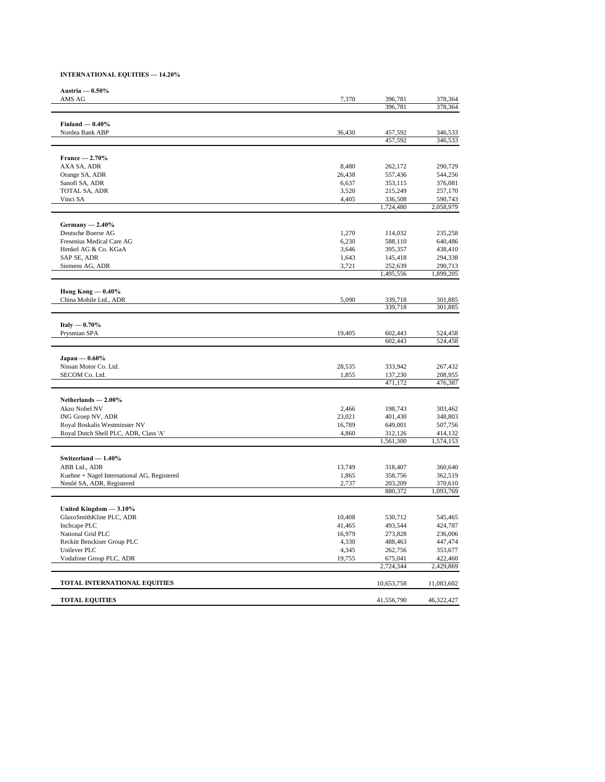#### **INTERNATIONAL EQUITIES — 14.20%**

| Austria $-0.50\%$                                |                 |                    |                      |
|--------------------------------------------------|-----------------|--------------------|----------------------|
| AMS AG                                           | 7,370           | 396,781            | 378,364              |
|                                                  |                 | 396,781            | 378,364              |
|                                                  |                 |                    |                      |
| Finland $-0.40%$<br>Nordea Bank ABP              | 36,430          | 457,592            | 346,533              |
|                                                  |                 | 457,592            | 346,533              |
|                                                  |                 |                    |                      |
| $France - 2.70\%$<br>AXA SA, ADR                 |                 |                    |                      |
| Orange SA, ADR                                   | 8,480<br>26,438 | 262,172<br>557,436 | 290,729<br>544,256   |
| Sanofi SA, ADR                                   | 6,637           | 353,115            | 376,081              |
| TOTAL SA, ADR                                    | 3,520           | 215,249            | 257,170              |
| Vinci SA                                         | 4,405           | 336,508            | 590,743              |
|                                                  |                 | 1,724,480          | 2,058,979            |
| Germany $-2.40\%$                                |                 |                    |                      |
| Deutsche Boerse AG                               | 1,270           | 114,032            | 235,258              |
| Fresenius Medical Care AG                        | 6,230           | 588,110            | 640,486              |
| Henkel AG & Co. KGaA                             | 3,646           | 395,357            | 438,410              |
| SAP SE, ADR                                      | 1,643           | 145,418            | 294,338              |
| Siemens AG, ADR                                  | 3,721           | 252,639            | 290,713<br>1,899,205 |
|                                                  |                 | 1,495,556          |                      |
| Hong Kong $-0.40\%$                              |                 |                    |                      |
| China Mobile Ltd., ADR                           | 5,090           | 339,718            | 301,885              |
|                                                  |                 | 339,718            | 301,885              |
| Italy $-0.70%$                                   |                 |                    |                      |
| Prysmian SPA                                     | 19,405          | 602,443            | 524,458              |
|                                                  |                 | 602,443            | 524,458              |
| $Japan - 0.60\%$                                 |                 |                    |                      |
| Nissan Motor Co. Ltd.                            | 28,535          | 333,942            | 267,432              |
| SECOM Co. Ltd.                                   | 1,855           | 137,230            | 208,955              |
|                                                  |                 | 471,172            | 476,387              |
| Netherlands $-2.00\%$                            |                 |                    |                      |
| Akzo Nobel NV                                    | 2,466           | 198,743            | 303,462              |
| ING Groep NV, ADR                                | 23,021          | 401,430            | 348,803              |
| Royal Boskalis Westminster NV                    | 16,789          | 649,001            | 507,756              |
| Royal Dutch Shell PLC, ADR, Class 'A'            | 4,860           | 312,126            | 414,132              |
|                                                  |                 | 1,561,300          | 1,574,153            |
| Switzerland - 1.40%                              |                 |                    |                      |
| ABB Ltd., ADR                                    | 13,749          | 318,407            | 360,640              |
| Kuehne + Nagel International AG, Registered      | 1,865           | 358,756            | 362,519              |
| Nestlé SA, ADR, Registered                       | 2,737           | 203,209<br>880,372 | 370,610<br>1,093,769 |
|                                                  |                 |                    |                      |
| United Kingdom - 3.10%                           |                 |                    |                      |
| GlaxoSmithKline PLC, ADR                         | 10,408          | 530,712            | 545,465              |
| Inchcape PLC                                     | 41,465          | 493,544            | 424,787              |
| National Grid PLC<br>Reckitt Benckiser Group PLC | 16,979<br>4,330 | 273,828<br>488,463 | 236,006<br>447,474   |
| Unilever PLC                                     | 4,345           | 262,756            | 353,677              |
| Vodafone Group PLC, ADR                          | 19,755          | 675,041            | 422,460              |
|                                                  |                 | 2,724,344          | 2,429,869            |
| TOTAL INTERNATIONAL EQUITIES                     |                 | 10,653,758         | 11,083,602           |
| <b>TOTAL EQUITIES</b>                            |                 | 41,556,790         | 46,322,427           |
|                                                  |                 |                    |                      |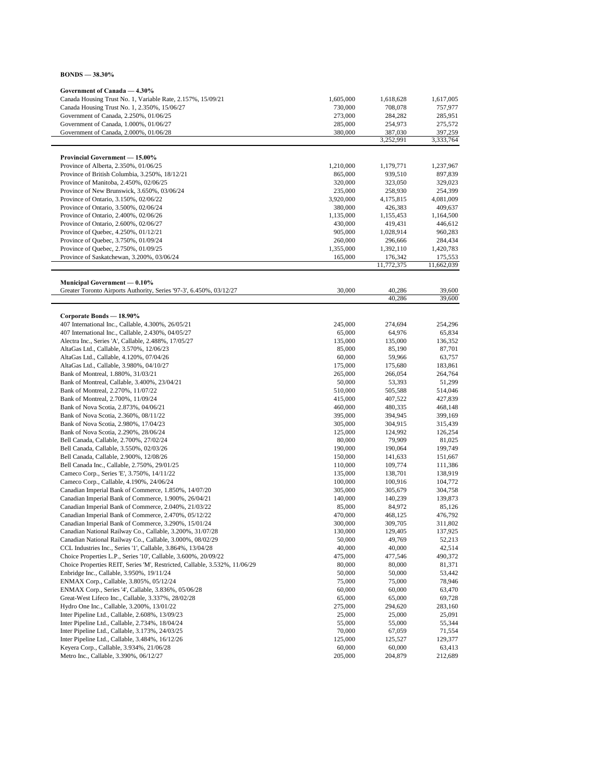| $BONDS = 38.30\%$ |  |
|-------------------|--|
|-------------------|--|

| Government of Canada - 4.30%                                                                                           |                      |                      |                      |
|------------------------------------------------------------------------------------------------------------------------|----------------------|----------------------|----------------------|
| Canada Housing Trust No. 1, Variable Rate, 2.157%, 15/09/21                                                            | 1,605,000            | 1,618,628            | 1,617,005            |
| Canada Housing Trust No. 1, 2.350%, 15/06/27                                                                           | 730,000              | 708,078              | 757,977              |
| Government of Canada, 2.250%, 01/06/25                                                                                 | 273,000              | 284,282              | 285,951              |
| Government of Canada, 1.000%, 01/06/27                                                                                 | 285,000              | 254,973              | 275,572              |
| Government of Canada, 2.000%, 01/06/28                                                                                 | 380,000              | 387,030<br>3,252,991 | 397,259<br>3,333,764 |
|                                                                                                                        |                      |                      |                      |
| <b>Provincial Government - 15.00%</b>                                                                                  |                      |                      |                      |
| Province of Alberta, 2.350%, 01/06/25                                                                                  | 1,210,000            | 1,179,771            | 1,237,967            |
| Province of British Columbia, 3.250%, 18/12/21                                                                         | 865,000              | 939,510              | 897,839              |
| Province of Manitoba, 2.450%, 02/06/25<br>Province of New Brunswick, 3.650%, 03/06/24                                  | 320,000              | 323,050              | 329,023              |
| Province of Ontario, 3.150%, 02/06/22                                                                                  | 235,000<br>3,920,000 | 258,930              | 254,399              |
| Province of Ontario, 3.500%, 02/06/24                                                                                  | 380,000              | 4,175,815<br>426,383 | 4,081,009<br>409,637 |
| Province of Ontario, 2.400%, 02/06/26                                                                                  | 1,135,000            | 1,155,453            | 1,164,500            |
| Province of Ontario, 2.600%, 02/06/27                                                                                  | 430,000              | 419,431              | 446,612              |
| Province of Quebec, 4.250%, 01/12/21                                                                                   | 905,000              | 1,028,914            | 960,283              |
| Province of Quebec, 3.750%, 01/09/24                                                                                   | 260,000              | 296,666              | 284,434              |
| Province of Quebec, 2.750%, 01/09/25                                                                                   | 1,355,000            | 1,392,110            | 1,420,783            |
| Province of Saskatchewan, 3.200%, 03/06/24                                                                             | 165,000              | 176,342              | 175,553              |
|                                                                                                                        |                      | 11,772,375           | 11,662,039           |
| Municipal Government — 0.10%                                                                                           |                      |                      |                      |
| Greater Toronto Airports Authority, Series '97-3', 6.450%, 03/12/27                                                    | 30,000               | 40,286               | 39,600               |
|                                                                                                                        |                      | 40,286               | 39,600               |
| Corporate Bonds - 18.90%                                                                                               |                      |                      |                      |
| 407 International Inc., Callable, 4.300%, 26/05/21                                                                     | 245,000              | 274,694              | 254,296              |
| 407 International Inc., Callable, 2.430%, 04/05/27                                                                     | 65,000               | 64,976               | 65,834               |
| Alectra Inc., Series 'A', Callable, 2.488%, 17/05/27                                                                   | 135,000              | 135,000              | 136,352              |
| AltaGas Ltd., Callable, 3.570%, 12/06/23                                                                               | 85,000               | 85,190               | 87,701               |
| AltaGas Ltd., Callable, 4.120%, 07/04/26                                                                               | 60,000               | 59,966               | 63,757               |
| AltaGas Ltd., Callable, 3.980%, 04/10/27                                                                               | 175,000              | 175,680              | 183,861              |
| Bank of Montreal, 1.880%, 31/03/21                                                                                     | 265,000              | 266,054              | 264,764              |
| Bank of Montreal, Callable, 3.400%, 23/04/21                                                                           | 50,000               | 53,393               | 51,299               |
| Bank of Montreal, 2.270%, 11/07/22                                                                                     | 510,000              | 505,588              | 514,046              |
| Bank of Montreal, 2.700%, 11/09/24                                                                                     | 415,000              | 407,522              | 427,839              |
| Bank of Nova Scotia, 2.873%, 04/06/21<br>Bank of Nova Scotia, 2.360%, 08/11/22                                         | 460,000<br>395,000   | 480,335<br>394,945   | 468,148<br>399,169   |
| Bank of Nova Scotia, 2.980%, 17/04/23                                                                                  | 305,000              | 304,915              | 315,439              |
| Bank of Nova Scotia, 2.290%, 28/06/24                                                                                  | 125,000              | 124,992              | 126,254              |
| Bell Canada, Callable, 2.700%, 27/02/24                                                                                | 80,000               | 79,909               | 81,025               |
| Bell Canada, Callable, 3.550%, 02/03/26                                                                                | 190,000              | 190,064              | 199,749              |
| Bell Canada, Callable, 2.900%, 12/08/26                                                                                | 150,000              | 141,633              | 151,667              |
| Bell Canada Inc., Callable, 2.750%, 29/01/25                                                                           | 110,000              | 109,774              | 111,386              |
| Cameco Corp., Series 'E', 3.750%, 14/11/22                                                                             | 135,000              | 138,701              | 138,919              |
| Cameco Corp., Callable, 4.190%, 24/06/24                                                                               | 100,000              | 100,916              | 104,772              |
| Canadian Imperial Bank of Commerce, 1.850%, 14/07/20                                                                   | 305,000              | 305,679              | 304,758              |
| Canadian Imperial Bank of Commerce, 1.900%, 26/04/21                                                                   | 140,000              | 140,239              | 139,873              |
| Canadian Imperial Bank of Commerce, 2.040%, 21/03/22                                                                   | 85,000               | 84,972               | 85,126               |
| Canadian Imperial Bank of Commerce, 2.470%, 05/12/22                                                                   | 470,000              | 468,125              | 476,792              |
| Canadian Imperial Bank of Commerce, 3.290%, 15/01/24                                                                   | 300,000              | 309,705              | 311,802              |
| Canadian National Railway Co., Callable, 3.200%, 31/07/28<br>Canadian National Railway Co., Callable, 3.000%, 08/02/29 | 130,000<br>50,000    | 129,405<br>49,769    | 137,925<br>52,213    |
| CCL Industries Inc., Series '1', Callable, 3.864%, 13/04/28                                                            | 40,000               | 40,000               | 42,514               |
| Choice Properties L.P., Series '10', Callable, 3.600%, 20/09/22                                                        | 475,000              | 477,546              | 490,372              |
| Choice Properties REIT, Series 'M', Restricted, Callable, 3.532%, 11/06/29                                             | 80,000               | 80,000               | 81,371               |
| Enbridge Inc., Callable, 3.950%, 19/11/24                                                                              | 50,000               | 50,000               | 53,442               |
| ENMAX Corp., Callable, 3.805%, 05/12/24                                                                                | 75,000               | 75,000               | 78,946               |
| ENMAX Corp., Series '4', Callable, 3.836%, 05/06/28                                                                    | 60,000               | 60,000               | 63,470               |
| Great-West Lifeco Inc., Callable, 3.337%, 28/02/28                                                                     | 65,000               | 65,000               | 69,728               |
| Hydro One Inc., Callable, 3.200%, 13/01/22                                                                             | 275,000              | 294,620              | 283,160              |
| Inter Pipeline Ltd., Callable, 2.608%, 13/09/23                                                                        | 25,000               | 25,000               | 25,091               |
| Inter Pipeline Ltd., Callable, 2.734%, 18/04/24                                                                        | 55,000               | 55,000               | 55,344               |
| Inter Pipeline Ltd., Callable, 3.173%, 24/03/25                                                                        | 70,000               | 67,059               | 71,554               |
| Inter Pipeline Ltd., Callable, 3.484%, 16/12/26                                                                        | 125,000              | 125,527              | 129,377              |
| Keyera Corp., Callable, 3.934%, 21/06/28                                                                               | 60,000               | 60,000               | 63,413               |
| Metro Inc., Callable, 3.390%, 06/12/27                                                                                 | 205,000              | 204,879              | 212,689              |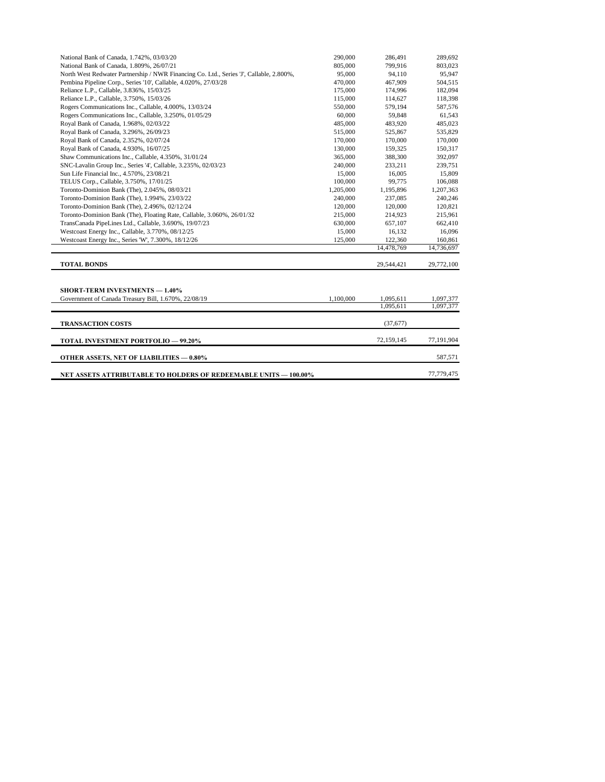| National Bank of Canada, 1.742%, 03/03/20                                               | 290,000   | 286.491    | 289,692    |
|-----------------------------------------------------------------------------------------|-----------|------------|------------|
| National Bank of Canada, 1.809%, 26/07/21                                               | 805,000   | 799,916    | 803,023    |
| North West Redwater Partnership / NWR Financing Co. Ltd., Series 'J', Callable, 2.800%, | 95,000    | 94,110     | 95,947     |
| Pembina Pipeline Corp., Series '10', Callable, 4.020%, 27/03/28                         | 470,000   | 467,909    | 504,515    |
| Reliance L.P., Callable, 3.836%, 15/03/25                                               | 175,000   | 174,996    | 182,094    |
| Reliance L.P., Callable, 3.750%, 15/03/26                                               | 115,000   | 114,627    | 118,398    |
| Rogers Communications Inc., Callable, 4.000%, 13/03/24                                  | 550,000   | 579,194    | 587,576    |
| Rogers Communications Inc., Callable, 3.250%, 01/05/29                                  | 60,000    | 59,848     | 61,543     |
| Royal Bank of Canada, 1.968%, 02/03/22                                                  | 485,000   | 483,920    | 485,023    |
| Royal Bank of Canada, 3.296%, 26/09/23                                                  | 515,000   | 525,867    | 535,829    |
| Royal Bank of Canada, 2.352%, 02/07/24                                                  | 170,000   | 170,000    | 170,000    |
| Royal Bank of Canada, 4.930%, 16/07/25                                                  | 130,000   | 159,325    | 150,317    |
| Shaw Communications Inc., Callable, 4.350%, 31/01/24                                    | 365,000   | 388,300    | 392,097    |
| SNC-Lavalin Group Inc., Series '4', Callable, 3.235%, 02/03/23                          | 240,000   | 233,211    | 239,751    |
| Sun Life Financial Inc., 4.570%, 23/08/21                                               | 15,000    | 16,005     | 15,809     |
| TELUS Corp., Callable, 3.750%, 17/01/25                                                 | 100,000   | 99,775     | 106,088    |
| Toronto-Dominion Bank (The), 2.045%, 08/03/21                                           | 1,205,000 | 1,195,896  | 1,207,363  |
| Toronto-Dominion Bank (The), 1.994%, 23/03/22                                           | 240,000   | 237,085    | 240,246    |
| Toronto-Dominion Bank (The), 2.496%, 02/12/24                                           | 120,000   | 120,000    | 120,821    |
| Toronto-Dominion Bank (The), Floating Rate, Callable, 3.060%, 26/01/32                  | 215,000   | 214,923    | 215,961    |
| TransCanada PipeLines Ltd., Callable, 3.690%, 19/07/23                                  | 630,000   | 657,107    | 662,410    |
| Westcoast Energy Inc., Callable, 3.770%, 08/12/25                                       | 15,000    | 16,132     | 16,096     |
| Westcoast Energy Inc., Series 'W', 7.300%, 18/12/26                                     | 125,000   | 122,360    | 160,861    |
|                                                                                         |           | 14,478,769 | 14,736,697 |
|                                                                                         |           |            |            |
| <b>TOTAL BONDS</b>                                                                      |           | 29,544,421 | 29,772,100 |
|                                                                                         |           |            |            |
|                                                                                         |           |            |            |
| <b>SHORT-TERM INVESTMENTS - 1.40%</b>                                                   |           |            |            |
| Government of Canada Treasury Bill, 1.670%, 22/08/19                                    | 1,100,000 | 1,095,611  | 1,097,377  |
|                                                                                         |           | 1,095,611  | 1,097,377  |
|                                                                                         |           |            |            |
| <b>TRANSACTION COSTS</b>                                                                |           | (37,677)   |            |
| <b>TOTAL INVESTMENT PORTFOLIO - 99.20%</b>                                              |           | 72,159,145 | 77,191,904 |
|                                                                                         |           |            |            |
| <b>OTHER ASSETS, NET OF LIABILITIES - 0.80%</b>                                         |           |            | 587,571    |
|                                                                                         |           |            | 77,779,475 |
| <b>NET ASSETS ATTRIBUTABLE TO HOLDERS OF REDEEMABLE UNITS - 100.00%</b>                 |           |            |            |

L,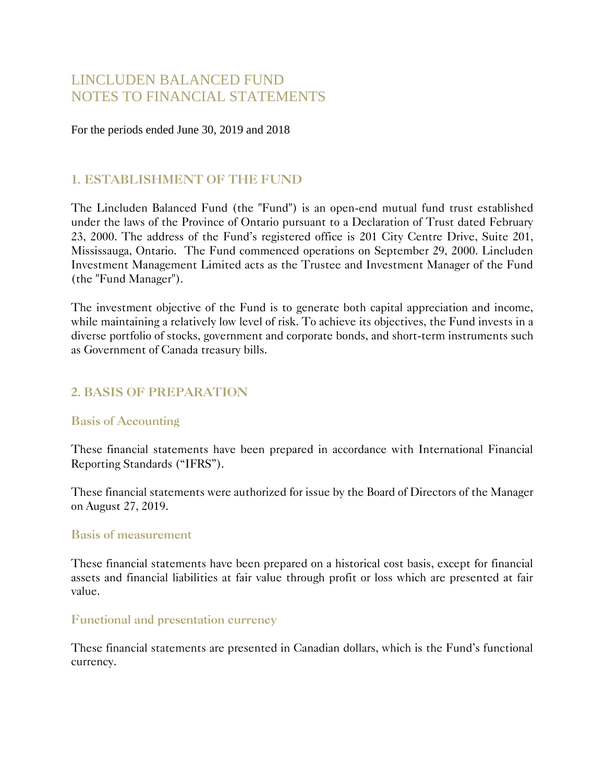# LINCLUDEN BALANCED FUND NOTES TO FINANCIAL STATEMENTS

For the periods ended June 30, 2019 and 2018

#### **1. ESTABLISHMENT OF THE FUND**

The Lincluden Balanced Fund (the "Fund") is an open-end mutual fund trust established under the laws of the Province of Ontario pursuant to a Declaration of Trust dated February 23, 2000. The address of the Fund's registered office is 201 City Centre Drive, Suite 201, Mississauga, Ontario. The Fund commenced operations on September 29, 2000. Lincluden Investment Management Limited acts as the Trustee and Investment Manager of the Fund (the "Fund Manager").

The investment objective of the Fund is to generate both capital appreciation and income, while maintaining a relatively low level of risk. To achieve its objectives, the Fund invests in a diverse portfolio of stocks, government and corporate bonds, and short-term instruments such as Government of Canada treasury bills.

### **2. BASIS OF PREPARATION**

#### **Basis of Accounting**

These financial statements have been prepared in accordance with International Financial Reporting Standards ("IFRS").

These financial statements were authorized for issue by the Board of Directors of the Manager on August 27, 2019.

#### **Basis of measurement**

These financial statements have been prepared on a historical cost basis, except for financial assets and financial liabilities at fair value through profit or loss which are presented at fair value.

#### **Functional and presentation currency**

These financial statements are presented in Canadian dollars, which is the Fund's functional currency.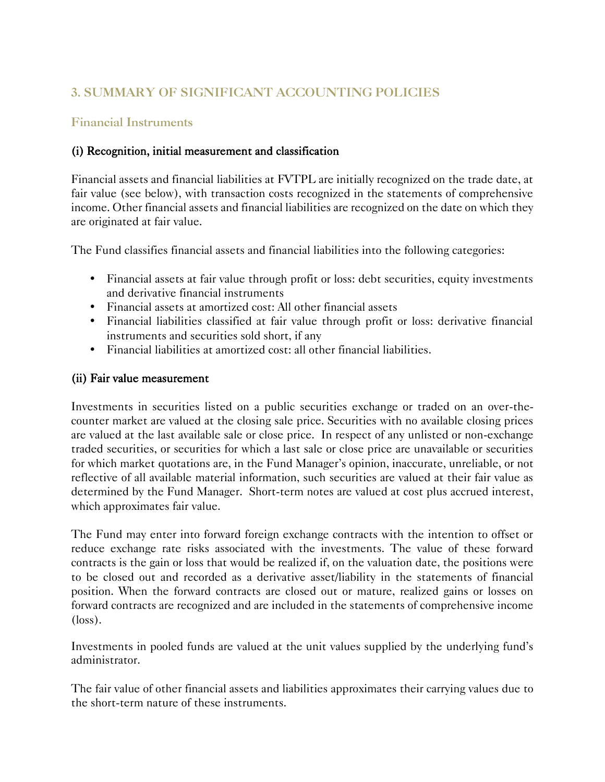# **3. SUMMARY OF SIGNIFICANT ACCOUNTING POLICIES**

#### **Financial Instruments**

#### (i) Recognition, initial measurement and classification

Financial assets and financial liabilities at FVTPL are initially recognized on the trade date, at fair value (see below), with transaction costs recognized in the statements of comprehensive income. Other financial assets and financial liabilities are recognized on the date on which they are originated at fair value.

The Fund classifies financial assets and financial liabilities into the following categories:

- Financial assets at fair value through profit or loss: debt securities, equity investments and derivative financial instruments
- Financial assets at amortized cost: All other financial assets
- Financial liabilities classified at fair value through profit or loss: derivative financial instruments and securities sold short, if any
- Financial liabilities at amortized cost: all other financial liabilities.

#### (ii) Fair value measurement

Investments in securities listed on a public securities exchange or traded on an over-thecounter market are valued at the closing sale price. Securities with no available closing prices are valued at the last available sale or close price. In respect of any unlisted or non-exchange traded securities, or securities for which a last sale or close price are unavailable or securities for which market quotations are, in the Fund Manager's opinion, inaccurate, unreliable, or not reflective of all available material information, such securities are valued at their fair value as determined by the Fund Manager. Short-term notes are valued at cost plus accrued interest, which approximates fair value.

The Fund may enter into forward foreign exchange contracts with the intention to offset or reduce exchange rate risks associated with the investments. The value of these forward contracts is the gain or loss that would be realized if, on the valuation date, the positions were to be closed out and recorded as a derivative asset/liability in the statements of financial position. When the forward contracts are closed out or mature, realized gains or losses on forward contracts are recognized and are included in the statements of comprehensive income (loss).

Investments in pooled funds are valued at the unit values supplied by the underlying fund's administrator.

The fair value of other financial assets and liabilities approximates their carrying values due to the short-term nature of these instruments.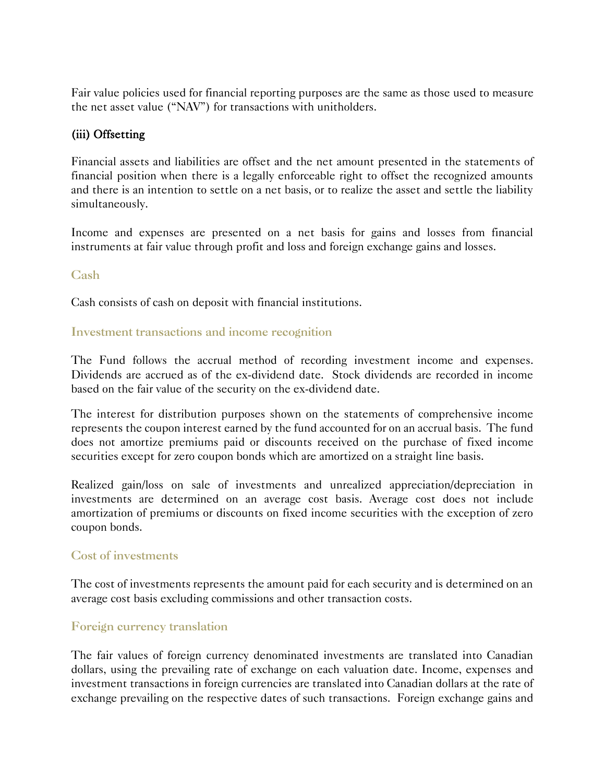Fair value policies used for financial reporting purposes are the same as those used to measure the net asset value ("NAV") for transactions with unitholders.

#### (iii) Offsetting

Financial assets and liabilities are offset and the net amount presented in the statements of financial position when there is a legally enforceable right to offset the recognized amounts and there is an intention to settle on a net basis, or to realize the asset and settle the liability simultaneously.

Income and expenses are presented on a net basis for gains and losses from financial instruments at fair value through profit and loss and foreign exchange gains and losses.

#### **Cash**

Cash consists of cash on deposit with financial institutions.

#### **Investment transactions and income recognition**

The Fund follows the accrual method of recording investment income and expenses. Dividends are accrued as of the ex-dividend date. Stock dividends are recorded in income based on the fair value of the security on the ex-dividend date.

The interest for distribution purposes shown on the statements of comprehensive income represents the coupon interest earned by the fund accounted for on an accrual basis. The fund does not amortize premiums paid or discounts received on the purchase of fixed income securities except for zero coupon bonds which are amortized on a straight line basis.

Realized gain/loss on sale of investments and unrealized appreciation/depreciation in investments are determined on an average cost basis. Average cost does not include amortization of premiums or discounts on fixed income securities with the exception of zero coupon bonds.

#### **Cost of investments**

The cost of investments represents the amount paid for each security and is determined on an average cost basis excluding commissions and other transaction costs.

#### **Foreign currency translation**

The fair values of foreign currency denominated investments are translated into Canadian dollars, using the prevailing rate of exchange on each valuation date. Income, expenses and investment transactions in foreign currencies are translated into Canadian dollars at the rate of exchange prevailing on the respective dates of such transactions. Foreign exchange gains and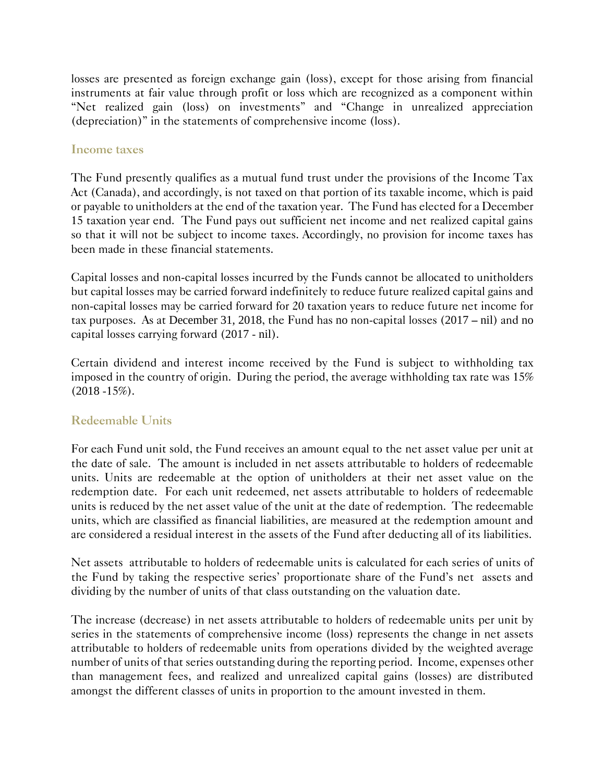losses are presented as foreign exchange gain (loss), except for those arising from financial instruments at fair value through profit or loss which are recognized as a component within "Net realized gain (loss) on investments" and "Change in unrealized appreciation (depreciation)" in the statements of comprehensive income (loss).

#### **Income taxes**

The Fund presently qualifies as a mutual fund trust under the provisions of the Income Tax Act (Canada), and accordingly, is not taxed on that portion of its taxable income, which is paid or payable to unitholders at the end of the taxation year. The Fund has elected for a December 15 taxation year end. The Fund pays out sufficient net income and net realized capital gains so that it will not be subject to income taxes. Accordingly, no provision for income taxes has been made in these financial statements.

Capital losses and non-capital losses incurred by the Funds cannot be allocated to unitholders but capital losses may be carried forward indefinitely to reduce future realized capital gains and non-capital losses may be carried forward for 20 taxation years to reduce future net income for tax purposes. As at December 31, 2018, the Fund has no non-capital losses (2017 – nil) and no capital losses carrying forward (2017 - nil).

Certain dividend and interest income received by the Fund is subject to withholding tax imposed in the country of origin. During the period, the average withholding tax rate was 15%  $(2018 - 15\%).$ 

### **Redeemable Units**

For each Fund unit sold, the Fund receives an amount equal to the net asset value per unit at the date of sale. The amount is included in net assets attributable to holders of redeemable units. Units are redeemable at the option of unitholders at their net asset value on the redemption date. For each unit redeemed, net assets attributable to holders of redeemable units is reduced by the net asset value of the unit at the date of redemption. The redeemable units, which are classified as financial liabilities, are measured at the redemption amount and are considered a residual interest in the assets of the Fund after deducting all of its liabilities.

Net assets attributable to holders of redeemable units is calculated for each series of units of the Fund by taking the respective series' proportionate share of the Fund's net assets and dividing by the number of units of that class outstanding on the valuation date.

The increase (decrease) in net assets attributable to holders of redeemable units per unit by series in the statements of comprehensive income (loss) represents the change in net assets attributable to holders of redeemable units from operations divided by the weighted average number of units of that series outstanding during the reporting period. Income, expenses other than management fees, and realized and unrealized capital gains (losses) are distributed amongst the different classes of units in proportion to the amount invested in them.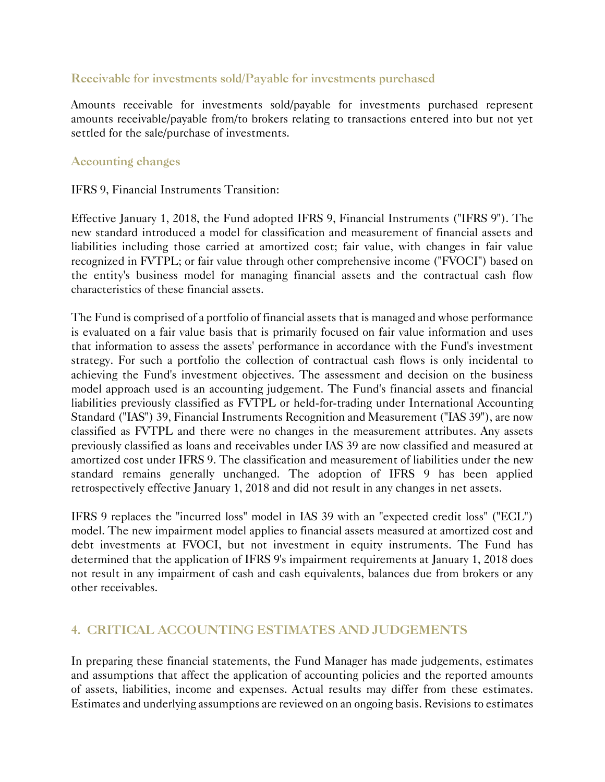#### **Receivable for investments sold/Payable for investments purchased**

Amounts receivable for investments sold/payable for investments purchased represent amounts receivable/payable from/to brokers relating to transactions entered into but not yet settled for the sale/purchase of investments.

#### **Accounting changes**

#### IFRS 9, Financial Instruments Transition:

Effective January 1, 2018, the Fund adopted IFRS 9, Financial Instruments ("IFRS 9"). The new standard introduced a model for classification and measurement of financial assets and liabilities including those carried at amortized cost; fair value, with changes in fair value recognized in FVTPL; or fair value through other comprehensive income ("FVOCI") based on the entity's business model for managing financial assets and the contractual cash flow characteristics of these financial assets.

The Fund is comprised of a portfolio of financial assets that is managed and whose performance is evaluated on a fair value basis that is primarily focused on fair value information and uses that information to assess the assets' performance in accordance with the Fund's investment strategy. For such a portfolio the collection of contractual cash flows is only incidental to achieving the Fund's investment objectives. The assessment and decision on the business model approach used is an accounting judgement. The Fund's financial assets and financial liabilities previously classified as FVTPL or held-for-trading under International Accounting Standard ("IAS") 39, Financial Instruments Recognition and Measurement ("IAS 39"), are now classified as FVTPL and there were no changes in the measurement attributes. Any assets previously classified as loans and receivables under IAS 39 are now classified and measured at amortized cost under IFRS 9. The classification and measurement of liabilities under the new standard remains generally unchanged. The adoption of IFRS 9 has been applied retrospectively effective January 1, 2018 and did not result in any changes in net assets.

IFRS 9 replaces the "incurred loss" model in IAS 39 with an "expected credit loss" ("ECL") model. The new impairment model applies to financial assets measured at amortized cost and debt investments at FVOCI, but not investment in equity instruments. The Fund has determined that the application of IFRS 9's impairment requirements at January 1, 2018 does not result in any impairment of cash and cash equivalents, balances due from brokers or any other receivables.

### **4. CRITICAL ACCOUNTING ESTIMATES AND JUDGEMENTS**

In preparing these financial statements, the Fund Manager has made judgements, estimates and assumptions that affect the application of accounting policies and the reported amounts of assets, liabilities, income and expenses. Actual results may differ from these estimates. Estimates and underlying assumptions are reviewed on an ongoing basis. Revisions to estimates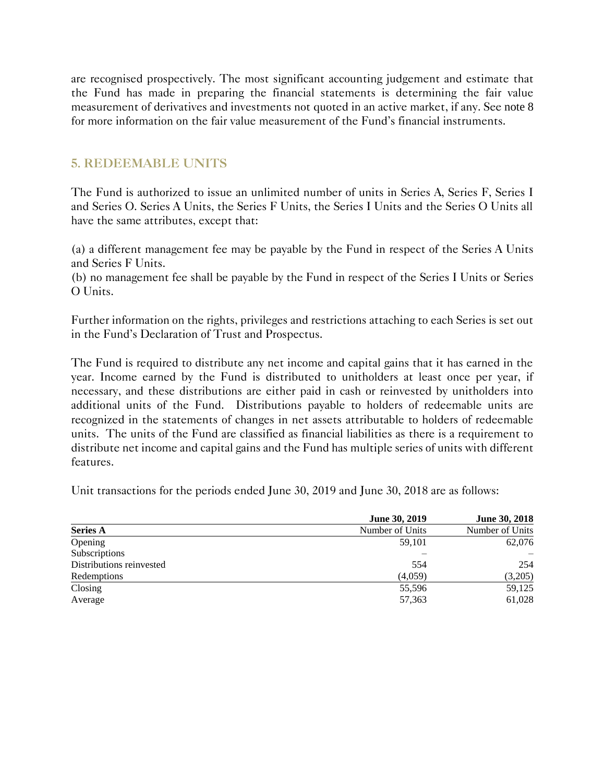are recognised prospectively. The most significant accounting judgement and estimate that the Fund has made in preparing the financial statements is determining the fair value measurement of derivatives and investments not quoted in an active market, if any. See note 8 for more information on the fair value measurement of the Fund's financial instruments.

#### **5. REDEEMABLE UNITS**

The Fund is authorized to issue an unlimited number of units in Series A, Series F, Series I and Series O. Series A Units, the Series F Units, the Series I Units and the Series O Units all have the same attributes, except that:

(a) a different management fee may be payable by the Fund in respect of the Series A Units and Series F Units.

(b) no management fee shall be payable by the Fund in respect of the Series I Units or Series O Units.

Further information on the rights, privileges and restrictions attaching to each Series is set out in the Fund's Declaration of Trust and Prospectus.

The Fund is required to distribute any net income and capital gains that it has earned in the year. Income earned by the Fund is distributed to unitholders at least once per year, if necessary, and these distributions are either paid in cash or reinvested by unitholders into additional units of the Fund. Distributions payable to holders of redeemable units are recognized in the statements of changes in net assets attributable to holders of redeemable units. The units of the Fund are classified as financial liabilities as there is a requirement to distribute net income and capital gains and the Fund has multiple series of units with different features.

Unit transactions for the periods ended June 30, 2019 and June 30, 2018 are as follows:

|                          | June 30, 2019   | <b>June 30, 2018</b> |
|--------------------------|-----------------|----------------------|
| <b>Series A</b>          | Number of Units | Number of Units      |
| Opening                  | 59,101          | 62,076               |
| Subscriptions            |                 |                      |
| Distributions reinvested | 554             | 254                  |
| Redemptions              | (4,059)         | (3,205)              |
| Closing                  | 55,596          | 59,125               |
| Average                  | 57,363          | 61,028               |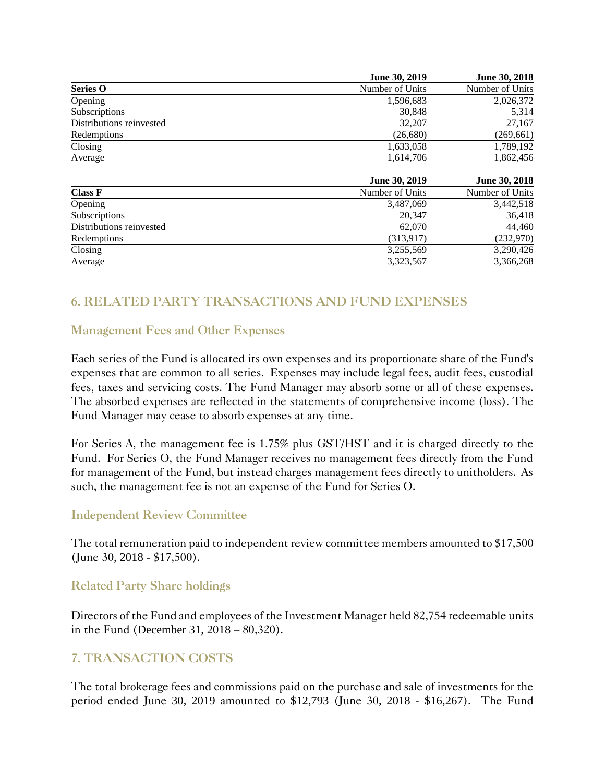|                          | June 30, 2019   | June 30, 2018   |
|--------------------------|-----------------|-----------------|
| <b>Series O</b>          | Number of Units | Number of Units |
| Opening                  | 1,596,683       | 2,026,372       |
| Subscriptions            | 30,848          | 5,314           |
| Distributions reinvested | 32,207          | 27,167          |
| Redemptions              | (26,680)        | (269, 661)      |
| Closing                  | 1,633,058       | 1,789,192       |
| Average                  | 1,614,706       | 1,862,456       |
|                          | June 30, 2019   | June 30, 2018   |
| <b>Class F</b>           | Number of Units | Number of Units |
| Opening                  | 3,487,069       | 3,442,518       |
| Subscriptions            | 20.347          | 36,418          |
|                          |                 |                 |
| Distributions reinvested | 62,070          | 44,460          |
| Redemptions              | (313.917)       | (232,970)       |
| Closing                  | 3,255,569       | 3,290,426       |

## **6. RELATED PARTY TRANSACTIONS AND FUND EXPENSES**

#### **Management Fees and Other Expenses**

Each series of the Fund is allocated its own expenses and its proportionate share of the Fund's expenses that are common to all series. Expenses may include legal fees, audit fees, custodial fees, taxes and servicing costs. The Fund Manager may absorb some or all of these expenses. The absorbed expenses are reflected in the statements of comprehensive income (loss). The Fund Manager may cease to absorb expenses at any time.

For Series A, the management fee is 1.75% plus GST/HST and it is charged directly to the Fund. For Series O, the Fund Manager receives no management fees directly from the Fund for management of the Fund, but instead charges management fees directly to unitholders. As such, the management fee is not an expense of the Fund for Series O.

#### **Independent Review Committee**

The total remuneration paid to independent review committee members amounted to \$17,500 (June 30, 2018 - \$17,500).

#### **Related Party Share holdings**

Directors of the Fund and employees of the Investment Manager held 82,754 redeemable units in the Fund (December 31, 2018 – 80,320).

#### **7. TRANSACTION COSTS**

The total brokerage fees and commissions paid on the purchase and sale of investments for the period ended June 30, 2019 amounted to \$12,793 (June 30, 2018 - \$16,267). The Fund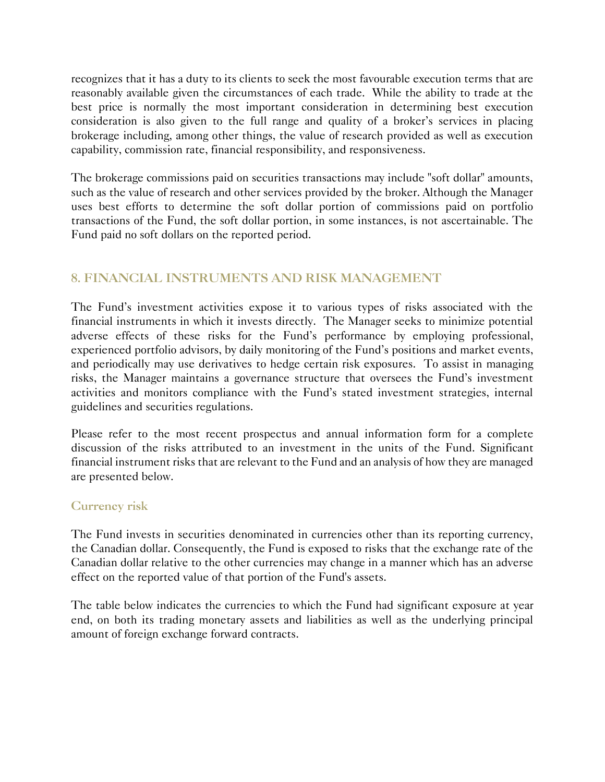recognizes that it has a duty to its clients to seek the most favourable execution terms that are reasonably available given the circumstances of each trade. While the ability to trade at the best price is normally the most important consideration in determining best execution consideration is also given to the full range and quality of a broker's services in placing brokerage including, among other things, the value of research provided as well as execution capability, commission rate, financial responsibility, and responsiveness.

The brokerage commissions paid on securities transactions may include "soft dollar" amounts, such as the value of research and other services provided by the broker. Although the Manager uses best efforts to determine the soft dollar portion of commissions paid on portfolio transactions of the Fund, the soft dollar portion, in some instances, is not ascertainable. The Fund paid no soft dollars on the reported period.

### **8. FINANCIAL INSTRUMENTS AND RISK MANAGEMENT**

The Fund's investment activities expose it to various types of risks associated with the financial instruments in which it invests directly. The Manager seeks to minimize potential adverse effects of these risks for the Fund's performance by employing professional, experienced portfolio advisors, by daily monitoring of the Fund's positions and market events, and periodically may use derivatives to hedge certain risk exposures. To assist in managing risks, the Manager maintains a governance structure that oversees the Fund's investment activities and monitors compliance with the Fund's stated investment strategies, internal guidelines and securities regulations.

Please refer to the most recent prospectus and annual information form for a complete discussion of the risks attributed to an investment in the units of the Fund. Significant financial instrument risks that are relevant to the Fund and an analysis of how they are managed are presented below.

#### **Currency risk**

The Fund invests in securities denominated in currencies other than its reporting currency, the Canadian dollar. Consequently, the Fund is exposed to risks that the exchange rate of the Canadian dollar relative to the other currencies may change in a manner which has an adverse effect on the reported value of that portion of the Fund's assets.

The table below indicates the currencies to which the Fund had significant exposure at year end, on both its trading monetary assets and liabilities as well as the underlying principal amount of foreign exchange forward contracts.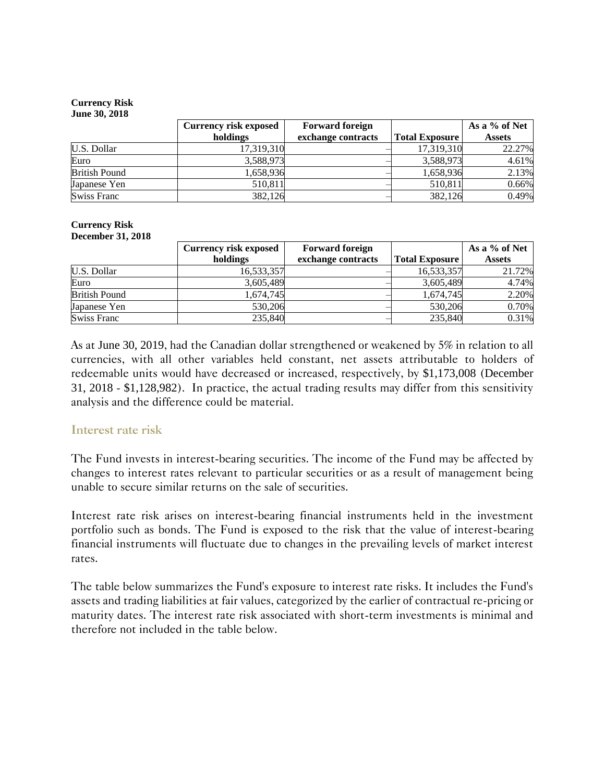#### **Currency Risk**

|                      | <b>Currency risk exposed</b> | <b>Forward foreign</b> |                       | As a % of Net |
|----------------------|------------------------------|------------------------|-----------------------|---------------|
|                      | holdings                     | exchange contracts     | <b>Total Exposure</b> | <b>Assets</b> |
| U.S. Dollar          | 17,319,310                   |                        | 17,319,310            | 22.27%        |
| Euro                 | 3,588,973                    |                        | 3,588,973             | 4.61%         |
| <b>British Pound</b> | 1,658,936                    |                        | 1,658,936             | 2.13%         |
| Japanese Yen         | 510,811                      |                        | 510,811               | 0.66%         |
| <b>Swiss Franc</b>   | 382,126                      |                        | 382,126               | 0.49%         |

#### **Currency Risk December 31, 2018**

|                      | <b>Currency risk exposed</b> | <b>Forward foreign</b> |                       | As a % of Net |
|----------------------|------------------------------|------------------------|-----------------------|---------------|
|                      | holdings                     | exchange contracts     | <b>Total Exposure</b> | <b>Assets</b> |
| U.S. Dollar          | 16,533,357                   |                        | 16,533,357            | 21.72%        |
| Euro                 | 3,605,489                    |                        | 3,605,489             | 4.74%         |
| <b>British Pound</b> | 1,674,745                    |                        | 1,674,745             | 2.20%         |
| Japanese Yen         | 530,206                      |                        | 530,206               | 0.70%         |
| Swiss Franc          | 235,840                      |                        | 235,840               | 0.31%         |

As at June 30, 2019, had the Canadian dollar strengthened or weakened by 5% in relation to all currencies, with all other variables held constant, net assets attributable to holders of redeemable units would have decreased or increased, respectively, by \$1,173,008 (December 31, 2018 - \$1,128,982). In practice, the actual trading results may differ from this sensitivity analysis and the difference could be material.

#### **Interest rate risk**

The Fund invests in interest-bearing securities. The income of the Fund may be affected by changes to interest rates relevant to particular securities or as a result of management being unable to secure similar returns on the sale of securities.

Interest rate risk arises on interest-bearing financial instruments held in the investment portfolio such as bonds. The Fund is exposed to the risk that the value of interest-bearing financial instruments will fluctuate due to changes in the prevailing levels of market interest rates.

The table below summarizes the Fund's exposure to interest rate risks. It includes the Fund's assets and trading liabilities at fair values, categorized by the earlier of contractual re-pricing or maturity dates. The interest rate risk associated with short-term investments is minimal and therefore not included in the table below.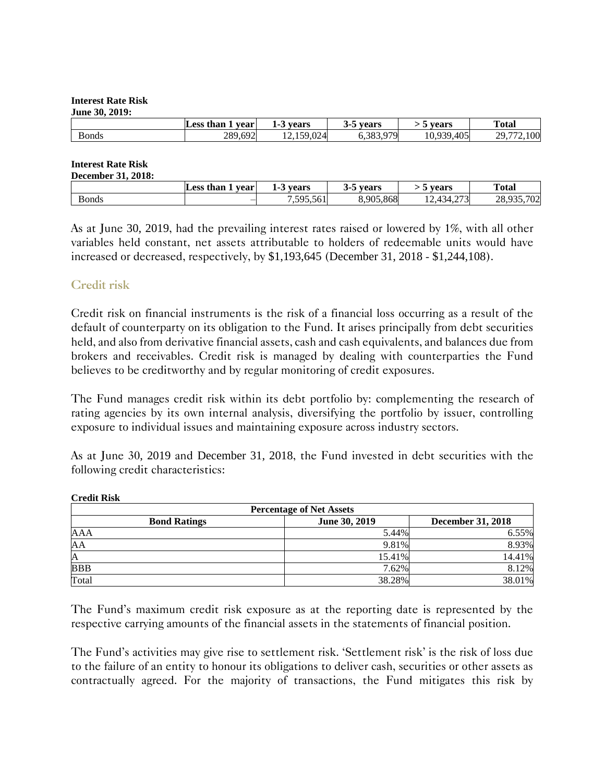#### **Interest Rate Risk June 30, 2019:**

| Julie $J_{\rm V}$ , 2017, |                   |            |              |                |                                                      |
|---------------------------|-------------------|------------|--------------|----------------|------------------------------------------------------|
|                           | Less than<br>vear | vears      | vears        | vears          | <b>Total</b>                                         |
| Bonds                     | 289,692           | 12,159,024 | Q7Q<br>0.000 | 10.939<br>.405 | 100<br>$20^{\circ}$<br>$\overline{\phantom{a}}$<br>∸ |

#### **Interest Rate Risk December 31, 2018:**

| Dccumov1 31, 2010. |                   |                       |                      |                                        |                  |
|--------------------|-------------------|-----------------------|----------------------|----------------------------------------|------------------|
|                    | Less than<br>vear | vears<br>$\mathbf{r}$ | vears<br><br>$\cdot$ | vears                                  | <b>Total</b>     |
| Bonds              |                   | 7505<br>1.595.561     | 8,905,868            | 272<br>-<br>∼<br>–…⊿<br>$-4.4$<br>г. Γ | 702<br>ററ<br>20. |

As at June 30, 2019, had the prevailing interest rates raised or lowered by 1%, with all other variables held constant, net assets attributable to holders of redeemable units would have increased or decreased, respectively, by \$1,193,645 (December 31, 2018 - \$1,244,108).

#### **Credit risk**

Credit risk on financial instruments is the risk of a financial loss occurring as a result of the default of counterparty on its obligation to the Fund. It arises principally from debt securities held, and also from derivative financial assets, cash and cash equivalents, and balances due from brokers and receivables. Credit risk is managed by dealing with counterparties the Fund believes to be creditworthy and by regular monitoring of credit exposures.

The Fund manages credit risk within its debt portfolio by: complementing the research of rating agencies by its own internal analysis, diversifying the portfolio by issuer, controlling exposure to individual issues and maintaining exposure across industry sectors.

As at June 30, 2019 and December 31, 2018, the Fund invested in debt securities with the following credit characteristics:

| <b>Percentage of Net Assets</b>                                  |        |        |  |  |  |  |  |
|------------------------------------------------------------------|--------|--------|--|--|--|--|--|
| June 30, 2019<br><b>December 31, 2018</b><br><b>Bond Ratings</b> |        |        |  |  |  |  |  |
| AAA                                                              | 5.44%  | 6.55%  |  |  |  |  |  |
| AA                                                               | 9.81%  | 8.93%  |  |  |  |  |  |
| A                                                                | 15.41% | 14.41% |  |  |  |  |  |
| <b>BBB</b>                                                       | 7.62%  | 8.12%  |  |  |  |  |  |
| Total                                                            | 38.28% | 38.01% |  |  |  |  |  |

#### **Credit Risk**

The Fund's maximum credit risk exposure as at the reporting date is represented by the respective carrying amounts of the financial assets in the statements of financial position.

The Fund's activities may give rise to settlement risk. 'Settlement risk' is the risk of loss due to the failure of an entity to honour its obligations to deliver cash, securities or other assets as contractually agreed. For the majority of transactions, the Fund mitigates this risk by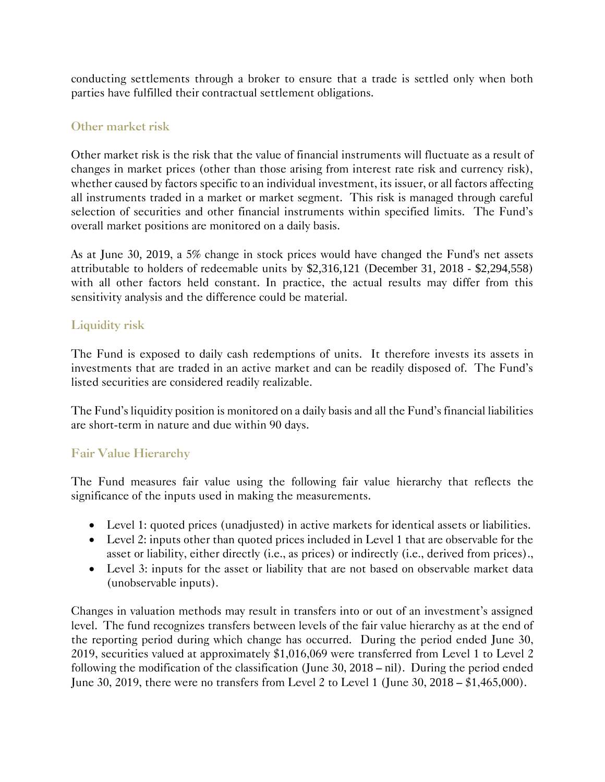conducting settlements through a broker to ensure that a trade is settled only when both parties have fulfilled their contractual settlement obligations.

#### **Other market risk**

Other market risk is the risk that the value of financial instruments will fluctuate as a result of changes in market prices (other than those arising from interest rate risk and currency risk), whether caused by factors specific to an individual investment, its issuer, or all factors affecting all instruments traded in a market or market segment. This risk is managed through careful selection of securities and other financial instruments within specified limits. The Fund's overall market positions are monitored on a daily basis.

As at June 30, 2019, a 5% change in stock prices would have changed the Fund's net assets attributable to holders of redeemable units by \$2,316,121 (December 31, 2018 - \$2,294,558) with all other factors held constant. In practice, the actual results may differ from this sensitivity analysis and the difference could be material.

### **Liquidity risk**

The Fund is exposed to daily cash redemptions of units. It therefore invests its assets in investments that are traded in an active market and can be readily disposed of. The Fund's listed securities are considered readily realizable.

The Fund's liquidity position is monitored on a daily basis and all the Fund's financial liabilities are short-term in nature and due within 90 days.

#### **Fair Value Hierarchy**

The Fund measures fair value using the following fair value hierarchy that reflects the significance of the inputs used in making the measurements.

- Level 1: quoted prices (unadjusted) in active markets for identical assets or liabilities.
- Level 2: inputs other than quoted prices included in Level 1 that are observable for the asset or liability, either directly (i.e., as prices) or indirectly (i.e., derived from prices).,
- Level 3: inputs for the asset or liability that are not based on observable market data (unobservable inputs).

Changes in valuation methods may result in transfers into or out of an investment's assigned level. The fund recognizes transfers between levels of the fair value hierarchy as at the end of the reporting period during which change has occurred. During the period ended June 30, 2019, securities valued at approximately \$1,016,069 were transferred from Level 1 to Level 2 following the modification of the classification (June 30, 2018 – nil). During the period ended June 30, 2019, there were no transfers from Level 2 to Level 1 (June 30, 2018 – \$1,465,000).